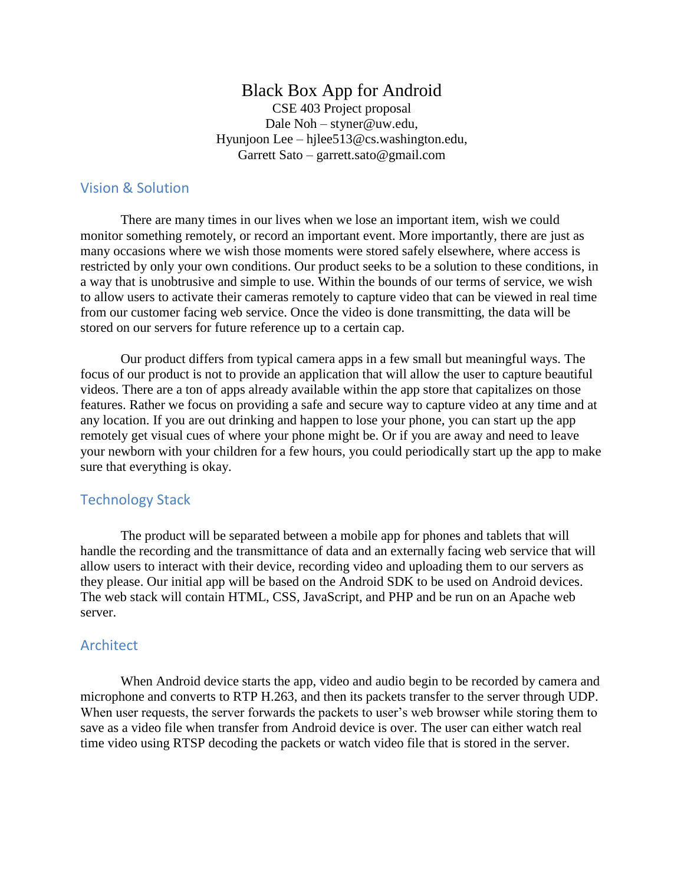# Black Box App for Android

CSE 403 Project proposal Dale Noh – [styner@uw.edu,](mailto:styner@uw.edu) Hyunjoon Lee – [hjlee513@cs.washington.edu,](mailto:hjlee513@cs.washington.edu) Garrett Sato – [garrett.sato@gmail.com](mailto:garrett.sato@gmail.com)

#### Vision & Solution

There are many times in our lives when we lose an important item, wish we could monitor something remotely, or record an important event. More importantly, there are just as many occasions where we wish those moments were stored safely elsewhere, where access is restricted by only your own conditions. Our product seeks to be a solution to these conditions, in a way that is unobtrusive and simple to use. Within the bounds of our terms of service, we wish to allow users to activate their cameras remotely to capture video that can be viewed in real time from our customer facing web service. Once the video is done transmitting, the data will be stored on our servers for future reference up to a certain cap.

Our product differs from typical camera apps in a few small but meaningful ways. The focus of our product is not to provide an application that will allow the user to capture beautiful videos. There are a ton of apps already available within the app store that capitalizes on those features. Rather we focus on providing a safe and secure way to capture video at any time and at any location. If you are out drinking and happen to lose your phone, you can start up the app remotely get visual cues of where your phone might be. Or if you are away and need to leave your newborn with your children for a few hours, you could periodically start up the app to make sure that everything is okay.

#### Technology Stack

The product will be separated between a mobile app for phones and tablets that will handle the recording and the transmittance of data and an externally facing web service that will allow users to interact with their device, recording video and uploading them to our servers as they please. Our initial app will be based on the Android SDK to be used on Android devices. The web stack will contain HTML, CSS, JavaScript, and PHP and be run on an Apache web server.

#### **Architect**

When Android device starts the app, video and audio begin to be recorded by camera and microphone and converts to RTP H.263, and then its packets transfer to the server through UDP. When user requests, the server forwards the packets to user's web browser while storing them to save as a video file when transfer from Android device is over. The user can either watch real time video using RTSP decoding the packets or watch video file that is stored in the server.